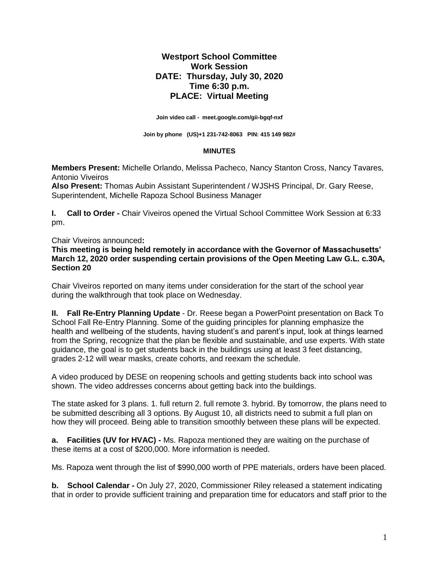# **Westport School Committee Work Session DATE: Thursday, July 30, 2020 Time 6:30 p.m. PLACE: Virtual Meeting**

**Join video call - [meet.google.com/gii-bgqf-nxf](https://meet.google.com/gii-bgqf-nxf?hs=122&authuser=2)**

**Join by phone (US[\)+1 231-742-8063](tel:%E2%80%AA+1%20231-742-8063%E2%80%AC) PIN: 415 149 982#**

#### **MINUTES**

**Members Present:** Michelle Orlando, Melissa Pacheco, Nancy Stanton Cross, Nancy Tavares*,*  Antonio Viveiros

**Also Present:** Thomas Aubin Assistant Superintendent / WJSHS Principal, Dr. Gary Reese, Superintendent, Michelle Rapoza School Business Manager

**I. Call to Order -** Chair Viveiros opened the Virtual School Committee Work Session at 6:33 pm.

#### Chair Viveiros announced**:**

**This meeting is being held remotely in accordance with the Governor of Massachusetts' March 12, 2020 order suspending certain provisions of the Open Meeting Law G.L. c.30A, Section 20**

Chair Viveiros reported on many items under consideration for the start of the school year during the walkthrough that took place on Wednesday.

**II. Fall Re-Entry Planning Update** - Dr. Reese began a PowerPoint presentation on Back To School Fall Re-Entry Planning. Some of the guiding principles for planning emphasize the health and wellbeing of the students, having student's and parent's input, look at things learned from the Spring, recognize that the plan be flexible and sustainable, and use experts. With state guidance, the goal is to get students back in the buildings using at least 3 feet distancing, grades 2-12 will wear masks, create cohorts, and reexam the schedule.

A video produced by DESE on reopening schools and getting students back into school was shown. The video addresses concerns about getting back into the buildings.

The state asked for 3 plans. 1. full return 2. full remote 3. hybrid. By tomorrow, the plans need to be submitted describing all 3 options. By August 10, all districts need to submit a full plan on how they will proceed. Being able to transition smoothly between these plans will be expected.

**a. Facilities (UV for HVAC) -** Ms. Rapoza mentioned they are waiting on the purchase of these items at a cost of \$200,000. More information is needed.

Ms. Rapoza went through the list of \$990,000 worth of PPE materials, orders have been placed.

**b. School Calendar -** On July 27, 2020, Commissioner Riley released a statement indicating that in order to provide sufficient training and preparation time for educators and staff prior to the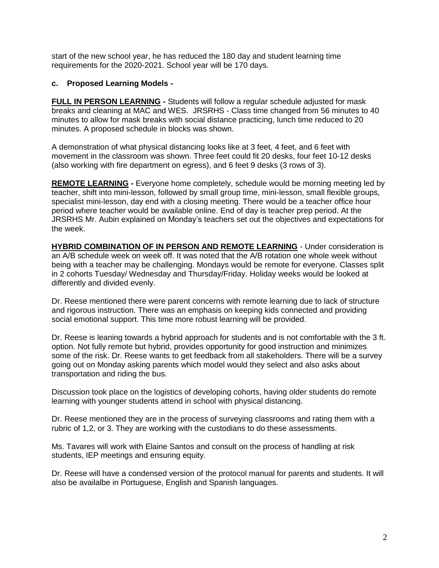start of the new school year, he has reduced the 180 day and student learning time requirements for the 2020-2021. School year will be 170 days.

## **c. Proposed Learning Models -**

**FULL IN PERSON LEARNING -** Students will follow a regular schedule adjusted for mask breaks and cleaning at MAC and WES.JRSRHS - Class time changed from 56 minutes to 40 minutes to allow for mask breaks with social distance practicing, lunch time reduced to 20 minutes. A proposed schedule in blocks was shown.

A demonstration of what physical distancing looks like at 3 feet, 4 feet, and 6 feet with movement in the classroom was shown. Three feet could fit 20 desks, four feet 10-12 desks (also working with fire department on egress), and 6 feet 9 desks (3 rows of 3).

**REMOTE LEARNING -** Everyone home completely, schedule would be morning meeting led by teacher, shift into mini-lesson, followed by small group time, mini-lesson, small flexible groups, specialist mini-lesson, day end with a closing meeting. There would be a teacher office hour period where teacher would be available online. End of day is teacher prep period. At the JRSRHS Mr. Aubin explained on Monday's teachers set out the objectives and expectations for the week.

**HYBRID COMBINATION OF IN PERSON AND REMOTE LEARNING** - Under consideration is an A/B schedule week on week off. It was noted that the A/B rotation one whole week without being with a teacher may be challenging. Mondays would be remote for everyone. Classes split in 2 cohorts Tuesday/ Wednesday and Thursday/Friday. Holiday weeks would be looked at differently and divided evenly.

Dr. Reese mentioned there were parent concerns with remote learning due to lack of structure and rigorous instruction. There was an emphasis on keeping kids connected and providing social emotional support. This time more robust learning will be provided.

Dr. Reese is leaning towards a hybrid approach for students and is not comfortable with the 3 ft. option. Not fully remote but hybrid, provides opportunity for good instruction and minimizes some of the risk. Dr. Reese wants to get feedback from all stakeholders. There will be a survey going out on Monday asking parents which model would they select and also asks about transportation and riding the bus.

Discussion took place on the logistics of developing cohorts, having older students do remote learning with younger students attend in school with physical distancing.

Dr. Reese mentioned they are in the process of surveying classrooms and rating them with a rubric of 1,2, or 3. They are working with the custodians to do these assessments.

Ms. Tavares will work with Elaine Santos and consult on the process of handling at risk students, IEP meetings and ensuring equity.

Dr. Reese will have a condensed version of the protocol manual for parents and students. It will also be availalbe in Portuguese, English and Spanish languages.